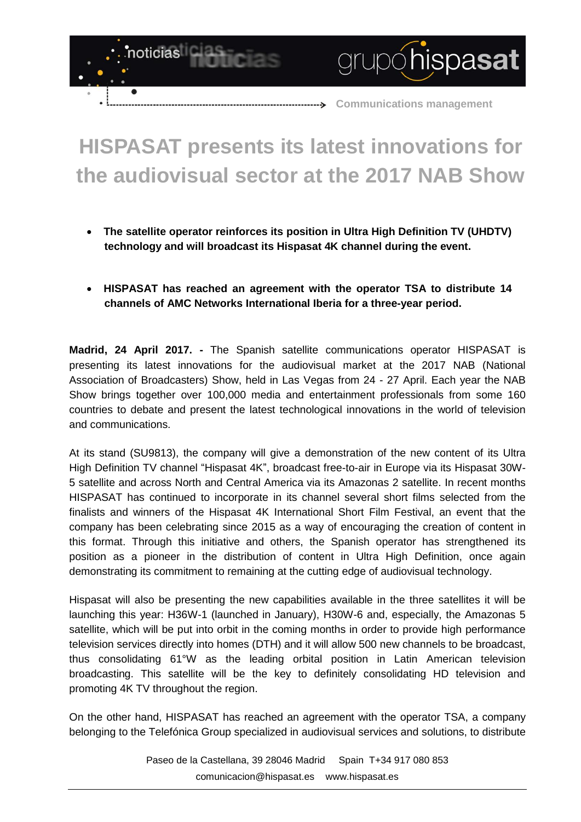

## **HISPASAT presents its latest innovations for the audiovisual sector at the 2017 NAB Show**

- **The satellite operator reinforces its position in Ultra High Definition TV (UHDTV) technology and will broadcast its Hispasat 4K channel during the event.**
- **HISPASAT has reached an agreement with the operator TSA to distribute 14 channels of AMC Networks International Iberia for a three-year period.**

**Madrid, 24 April 2017. -** The Spanish satellite communications operator HISPASAT is presenting its latest innovations for the audiovisual market at the 2017 NAB (National Association of Broadcasters) Show, held in Las Vegas from 24 - 27 April. Each year the NAB Show brings together over 100,000 media and entertainment professionals from some 160 countries to debate and present the latest technological innovations in the world of television and communications.

At its stand (SU9813), the company will give a demonstration of the new content of its Ultra High Definition TV channel "Hispasat 4K", broadcast free-to-air in Europe via its Hispasat 30W-5 satellite and across North and Central America via its Amazonas 2 satellite. In recent months HISPASAT has continued to incorporate in its channel several short films selected from the finalists and winners of the Hispasat 4K International Short Film Festival, an event that the company has been celebrating since 2015 as a way of encouraging the creation of content in this format. Through this initiative and others, the Spanish operator has strengthened its position as a pioneer in the distribution of content in Ultra High Definition, once again demonstrating its commitment to remaining at the cutting edge of audiovisual technology.

Hispasat will also be presenting the new capabilities available in the three satellites it will be launching this year: H36W-1 (launched in January), H30W-6 and, especially, the Amazonas 5 satellite, which will be put into orbit in the coming months in order to provide high performance television services directly into homes (DTH) and it will allow 500 new channels to be broadcast, thus consolidating 61°W as the leading orbital position in Latin American television broadcasting. This satellite will be the key to definitely consolidating HD television and promoting 4K TV throughout the region.

On the other hand, HISPASAT has reached an agreement with the operator TSA, a company belonging to the Telefónica Group specialized in audiovisual services and solutions, to distribute

> Paseo de la Castellana, 39 28046 Madrid Spain T+34 917 080 853 [comunicacion@hispasat.es](mailto:comunicacion@hispasat.es) www.hispasat.es